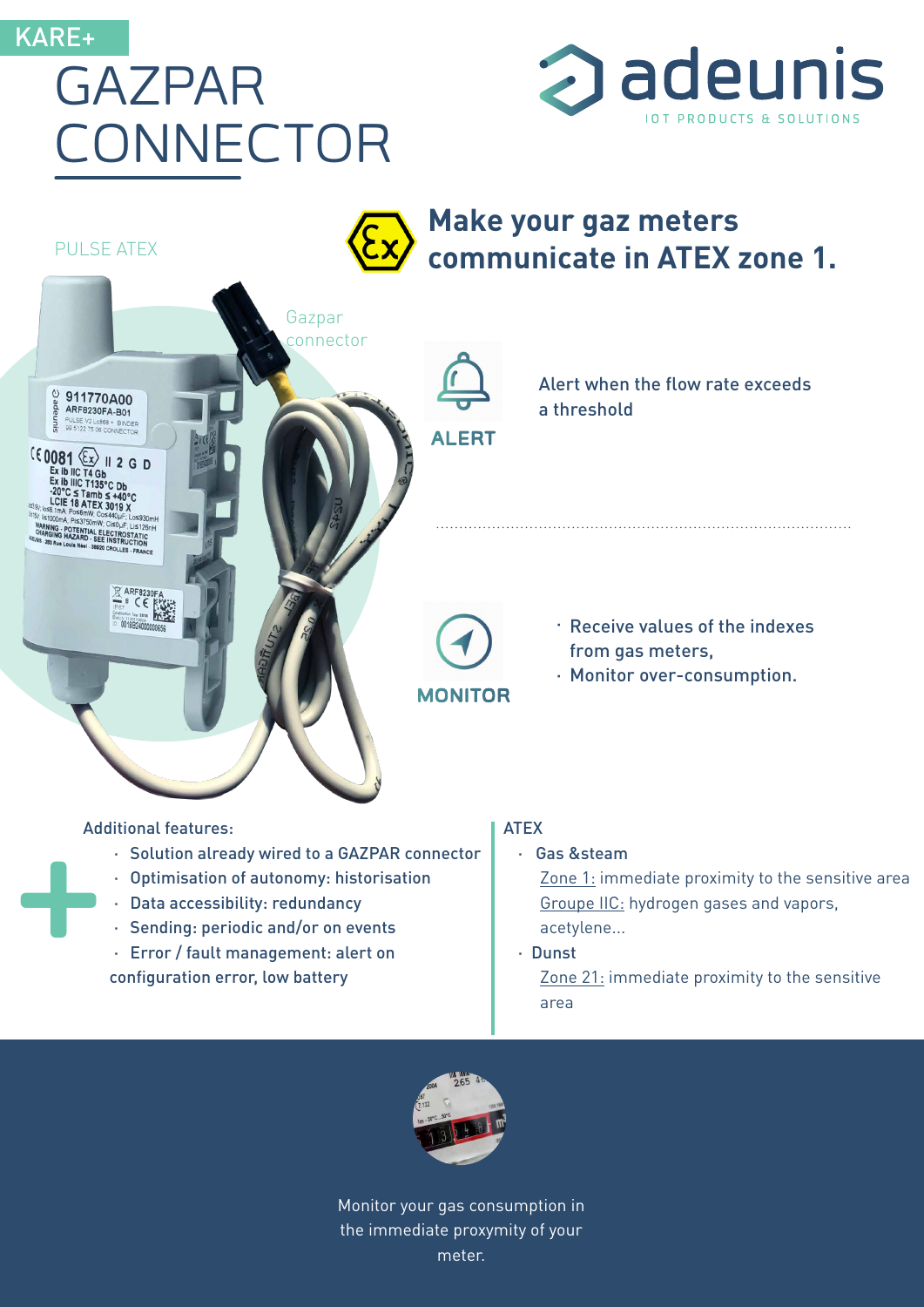#### KARE+

PULSE ATEX

 $^{\circ}_{\overset{a}{\theta}}$  911770A00

 $(60081)$   $(x)$   $12$  GD

Ex ib IIC T4 Gb<br>Ex ib IIIC T4 Gb<br>-20°C  $\leq$  Tamb  $\leq$  +40°C<br>LCIE 18 ATEX 3019 X

POTENTIAL ELECTROSTATIC

PULSE V2 Lo868 + BIND

adeun

## GAZPAR CONNECTOR



**Make your gaz meters communicate in ATEX zone 1.**

**ALERT**

Alert when the flow rate exceeds a threshold

**MONITOR**

· Receive values of the indexes from gas meters,

· Monitor over-consumption.

# Add Additional features:

 $rac{1}{2}$ 

· Solution already wired to a GAZPAR connector

Gazpar connector

- · Optimisation of autonomy: historisation
- · Data accessibility: redundancy
- · Sending: periodic and/or on events
- · Error / fault management: alert on

configuration error, low battery

#### ATEX

· Gas &steam

Zone 1: immediate proximity to the sensitive area Groupe IIC: hydrogen gases and vapors, acetylene...

· Dunst

Zone 21: immediate proximity to the sensitive area



Monitor your gas consumption in the immediate proxymity of your meter.